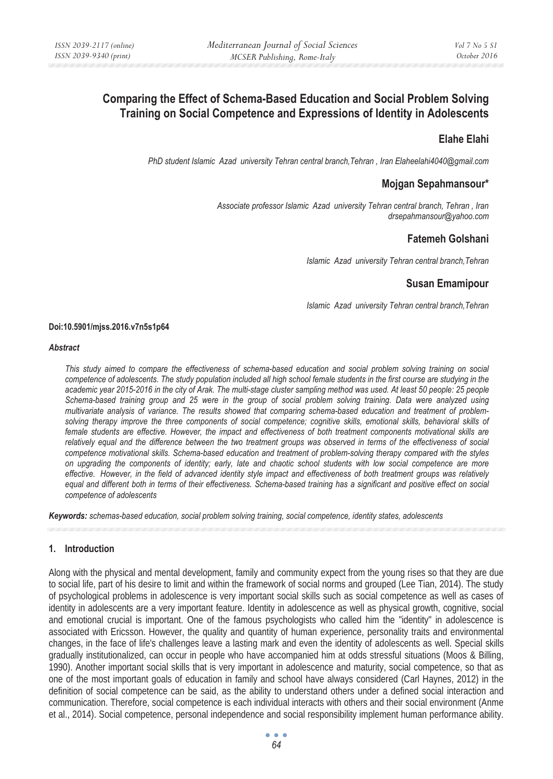# **Comparing the Effect of Schema-Based Education and Social Problem Solving Training on Social Competence and Expressions of Identity in Adolescents**

# **Elahe Elahi**

*PhD student Islamic Azad university Tehran central branch,Tehran , Iran Elaheelahi4040@gmail.com* 

### **Mojgan Sepahmansour\***

*Associate professor Islamic Azad university Tehran central branch, Tehran , Iran drsepahmansour@yahoo.com* 

# **Fatemeh Golshani**

*Islamic Azad university Tehran central branch,Tehran* 

### **Susan Emamipour**

*Islamic Azad university Tehran central branch,Tehran* 

#### **Doi:10.5901/mjss.2016.v7n5s1p64**

#### *Abstract*

*This study aimed to compare the effectiveness of schema-based education and social problem solving training on social competence of adolescents. The study population included all high school female students in the first course are studying in the*  academic year 2015-2016 in the city of Arak. The multi-stage cluster sampling method was used. At least 50 people: 25 people Schema-based training group and 25 were in the group of social problem solving training. Data were analyzed using *multivariate analysis of variance. The results showed that comparing schema-based education and treatment of problemsolving therapy improve the three components of social competence; cognitive skills, emotional skills, behavioral skills of*  female students are effective. However, the impact and effectiveness of both treatment components motivational skills are *relatively equal and the difference between the two treatment groups was observed in terms of the effectiveness of social competence motivational skills. Schema-based education and treatment of problem-solving therapy compared with the styles on upgrading the components of identity; early, late and chaotic school students with low social competence are more effective. However, in the field of advanced identity style impact and effectiveness of both treatment groups was relatively equal and different both in terms of their effectiveness. Schema-based training has a significant and positive effect on social competence of adolescents* 

*Keywords: schemas-based education, social problem solving training, social competence, identity states, adolescents*

### **1. Introduction**

Along with the physical and mental development, family and community expect from the young rises so that they are due to social life, part of his desire to limit and within the framework of social norms and grouped (Lee Tian, 2014). The study of psychological problems in adolescence is very important social skills such as social competence as well as cases of identity in adolescents are a very important feature. Identity in adolescence as well as physical growth, cognitive, social and emotional crucial is important. One of the famous psychologists who called him the "identity" in adolescence is associated with Ericsson. However, the quality and quantity of human experience, personality traits and environmental changes, in the face of life's challenges leave a lasting mark and even the identity of adolescents as well. Special skills gradually institutionalized, can occur in people who have accompanied him at odds stressful situations (Moos & Billing, 1990). Another important social skills that is very important in adolescence and maturity, social competence, so that as one of the most important goals of education in family and school have always considered (Carl Haynes, 2012) in the definition of social competence can be said, as the ability to understand others under a defined social interaction and communication. Therefore, social competence is each individual interacts with others and their social environment (Anme et al., 2014). Social competence, personal independence and social responsibility implement human performance ability.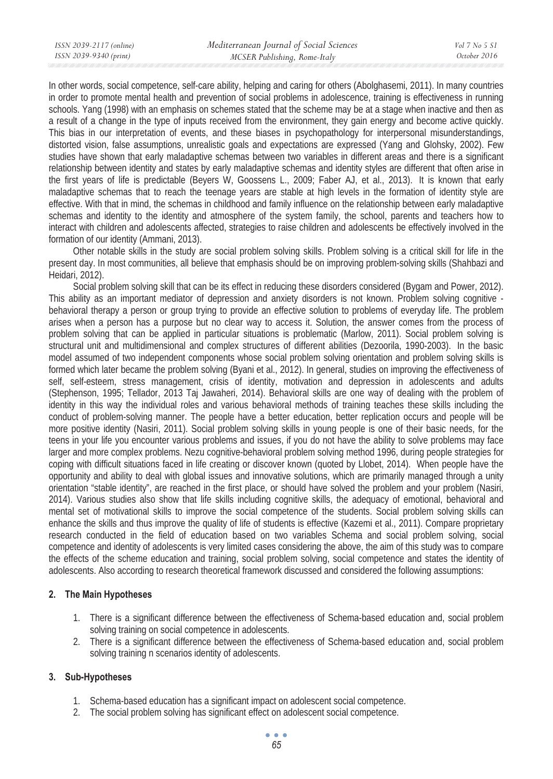In other words, social competence, self-care ability, helping and caring for others (Abolghasemi, 2011). In many countries in order to promote mental health and prevention of social problems in adolescence, training is effectiveness in running schools. Yang (1998) with an emphasis on schemes stated that the scheme may be at a stage when inactive and then as a result of a change in the type of inputs received from the environment, they gain energy and become active quickly. This bias in our interpretation of events, and these biases in psychopathology for interpersonal misunderstandings, distorted vision, false assumptions, unrealistic goals and expectations are expressed (Yang and Glohsky, 2002). Few studies have shown that early maladaptive schemas between two variables in different areas and there is a significant relationship between identity and states by early maladaptive schemas and identity styles are different that often arise in the first years of life is predictable (Beyers W, Goossens L., 2009; Faber AJ, et al., 2013). It is known that early maladaptive schemas that to reach the teenage years are stable at high levels in the formation of identity style are effective. With that in mind, the schemas in childhood and family influence on the relationship between early maladaptive schemas and identity to the identity and atmosphere of the system family, the school, parents and teachers how to interact with children and adolescents affected, strategies to raise children and adolescents be effectively involved in the formation of our identity (Ammani, 2013).

Other notable skills in the study are social problem solving skills. Problem solving is a critical skill for life in the present day. In most communities, all believe that emphasis should be on improving problem-solving skills (Shahbazi and Heidari, 2012).

Social problem solving skill that can be its effect in reducing these disorders considered (Bygam and Power, 2012). This ability as an important mediator of depression and anxiety disorders is not known. Problem solving cognitive behavioral therapy a person or group trying to provide an effective solution to problems of everyday life. The problem arises when a person has a purpose but no clear way to access it. Solution, the answer comes from the process of problem solving that can be applied in particular situations is problematic (Marlow, 2011). Social problem solving is structural unit and multidimensional and complex structures of different abilities (Dezoorila, 1990-2003). In the basic model assumed of two independent components whose social problem solving orientation and problem solving skills is formed which later became the problem solving (Byani et al., 2012). In general, studies on improving the effectiveness of self, self-esteem, stress management, crisis of identity, motivation and depression in adolescents and adults (Stephenson, 1995; Tellador, 2013 Taj Jawaheri, 2014). Behavioral skills are one way of dealing with the problem of identity in this way the individual roles and various behavioral methods of training teaches these skills including the conduct of problem-solving manner. The people have a better education, better replication occurs and people will be more positive identity (Nasiri, 2011). Social problem solving skills in young people is one of their basic needs, for the teens in your life you encounter various problems and issues, if you do not have the ability to solve problems may face larger and more complex problems. Nezu cognitive-behavioral problem solving method 1996, during people strategies for coping with difficult situations faced in life creating or discover known (quoted by Llobet, 2014). When people have the opportunity and ability to deal with global issues and innovative solutions, which are primarily managed through a unity orientation "stable identity", are reached in the first place, or should have solved the problem and your problem (Nasiri, 2014). Various studies also show that life skills including cognitive skills, the adequacy of emotional, behavioral and mental set of motivational skills to improve the social competence of the students. Social problem solving skills can enhance the skills and thus improve the quality of life of students is effective (Kazemi et al., 2011). Compare proprietary research conducted in the field of education based on two variables Schema and social problem solving, social competence and identity of adolescents is very limited cases considering the above, the aim of this study was to compare the effects of the scheme education and training, social problem solving, social competence and states the identity of adolescents. Also according to research theoretical framework discussed and considered the following assumptions:

### **2. The Main Hypotheses**

- 1. There is a significant difference between the effectiveness of Schema-based education and, social problem solving training on social competence in adolescents.
- 2. There is a significant difference between the effectiveness of Schema-based education and, social problem solving training n scenarios identity of adolescents.

### **3. Sub-Hypotheses**

- 1. Schema-based education has a significant impact on adolescent social competence.
- 2. The social problem solving has significant effect on adolescent social competence.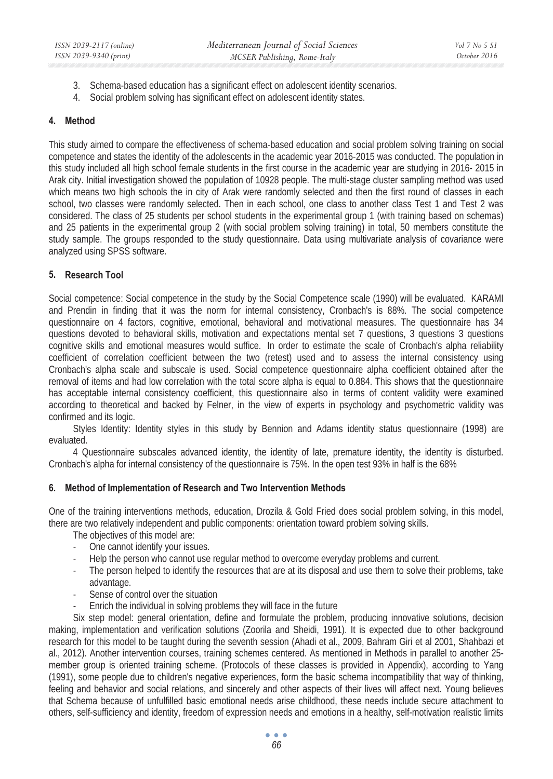- 3. Schema-based education has a significant effect on adolescent identity scenarios.
- 4. Social problem solving has significant effect on adolescent identity states.

### **4. Method**

This study aimed to compare the effectiveness of schema-based education and social problem solving training on social competence and states the identity of the adolescents in the academic year 2016-2015 was conducted. The population in this study included all high school female students in the first course in the academic year are studying in 2016- 2015 in Arak city. Initial investigation showed the population of 10928 people. The multi-stage cluster sampling method was used which means two high schools the in city of Arak were randomly selected and then the first round of classes in each school, two classes were randomly selected. Then in each school, one class to another class Test 1 and Test 2 was considered. The class of 25 students per school students in the experimental group 1 (with training based on schemas) and 25 patients in the experimental group 2 (with social problem solving training) in total, 50 members constitute the study sample. The groups responded to the study questionnaire. Data using multivariate analysis of covariance were analyzed using SPSS software.

### **5. Research Tool**

Social competence: Social competence in the study by the Social Competence scale (1990) will be evaluated. KARAMI and Prendin in finding that it was the norm for internal consistency, Cronbach's is 88%. The social competence questionnaire on 4 factors, cognitive, emotional, behavioral and motivational measures. The questionnaire has 34 questions devoted to behavioral skills, motivation and expectations mental set 7 questions, 3 questions 3 questions cognitive skills and emotional measures would suffice. In order to estimate the scale of Cronbach's alpha reliability coefficient of correlation coefficient between the two (retest) used and to assess the internal consistency using Cronbach's alpha scale and subscale is used. Social competence questionnaire alpha coefficient obtained after the removal of items and had low correlation with the total score alpha is equal to 0.884. This shows that the questionnaire has acceptable internal consistency coefficient, this questionnaire also in terms of content validity were examined according to theoretical and backed by Felner, in the view of experts in psychology and psychometric validity was confirmed and its logic.

Styles Identity: Identity styles in this study by Bennion and Adams identity status questionnaire (1998) are evaluated.

4 Questionnaire subscales advanced identity, the identity of late, premature identity, the identity is disturbed. Cronbach's alpha for internal consistency of the questionnaire is 75%. In the open test 93% in half is the 68%

### **6. Method of Implementation of Research and Two Intervention Methods**

One of the training interventions methods, education, Drozila & Gold Fried does social problem solving, in this model, there are two relatively independent and public components: orientation toward problem solving skills.

The objectives of this model are:

- One cannot identify your issues.
- Help the person who cannot use regular method to overcome everyday problems and current.
- The person helped to identify the resources that are at its disposal and use them to solve their problems, take advantage.
- Sense of control over the situation
- Enrich the individual in solving problems they will face in the future

Six step model: general orientation, define and formulate the problem, producing innovative solutions, decision making, implementation and verification solutions (Zoorila and Sheidi, 1991). It is expected due to other background research for this model to be taught during the seventh session (Ahadi et al., 2009, Bahram Giri et al 2001, Shahbazi et al., 2012). Another intervention courses, training schemes centered. As mentioned in Methods in parallel to another 25 member group is oriented training scheme. (Protocols of these classes is provided in Appendix), according to Yang (1991), some people due to children's negative experiences, form the basic schema incompatibility that way of thinking, feeling and behavior and social relations, and sincerely and other aspects of their lives will affect next. Young believes that Schema because of unfulfilled basic emotional needs arise childhood, these needs include secure attachment to others, self-sufficiency and identity, freedom of expression needs and emotions in a healthy, self-motivation realistic limits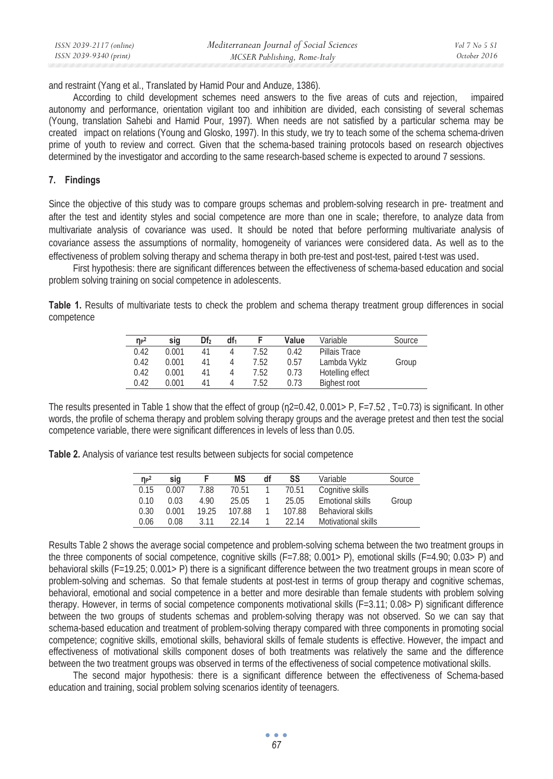| ISSN 2039-2117 (online) | Mediterranean Journal of Social Sciences | Vol 7 No 5 S1 |
|-------------------------|------------------------------------------|---------------|
| ISSN 2039-9340 (print)  | MCSER Publishing, Rome-Italy             | October 2016  |

and restraint (Yang et al., Translated by Hamid Pour and Anduze, 1386).

According to child development schemes need answers to the five areas of cuts and rejection, impaired autonomy and performance, orientation vigilant too and inhibition are divided, each consisting of several schemas (Young, translation Sahebi and Hamid Pour, 1997). When needs are not satisfied by a particular schema may be created impact on relations (Young and Glosko, 1997). In this study, we try to teach some of the schema schema-driven prime of youth to review and correct. Given that the schema-based training protocols based on research objectives determined by the investigator and according to the same research-based scheme is expected to around 7 sessions.

### **7. Findings**

Since the objective of this study was to compare groups schemas and problem-solving research in pre- treatment and after the test and identity styles and social competence are more than one in scale; therefore, to analyze data from multivariate analysis of covariance was used. It should be noted that before performing multivariate analysis of covariance assess the assumptions of normality, homogeneity of variances were considered data. As well as to the effectiveness of problem solving therapy and schema therapy in both pre-test and post-test, paired t-test was used.

First hypothesis: there are significant differences between the effectiveness of schema-based education and social problem solving training on social competence in adolescents.

**Table 1.** Results of multivariate tests to check the problem and schema therapy treatment group differences in social competence

| $n_{P}^2$ | sig   | Df <sub>2</sub> | df <sub>1</sub> |      | Value | Variable         | Source |
|-----------|-------|-----------------|-----------------|------|-------|------------------|--------|
| 0.42      | 0.001 | 41              |                 | 7.52 | 0.42  | Pillais Trace    |        |
| 0.42      | 0.001 | 41              |                 | 7.52 | 0.57  | Lambda Vyklz     | Group  |
| 0.42      | 0.001 | 41              |                 | 7.52 | 0.73  | Hotelling effect |        |
| 0.42      | 0.001 | 41              |                 | 7.52 | 0.73  | Bighest root     |        |

The results presented in Table 1 show that the effect of group  $(n2=0.42, 0.001> P, F=7.52, T=0.73)$  is significant. In other words, the profile of schema therapy and problem solving therapy groups and the average pretest and then test the social competence variable, there were significant differences in levels of less than 0.05.

**Table 2.** Analysis of variance test results between subjects for social competence

| $\eta$ <sup>2</sup> | sig   |       | <b>MS</b> | df | SS     | Variable            | Source |
|---------------------|-------|-------|-----------|----|--------|---------------------|--------|
| 0.15                | 0.007 | 7.88  | 70.51     |    | 70.51  | Cognitive skills    |        |
| 0.10                | 0.03  | 4.90  | 25.05     |    | 25.05  | Emotional skills    | Group  |
| 0.30                | 0.001 | 19.25 | 107.88    |    | 107.88 | Behavioral skills   |        |
| 0.06                | 0.08  | 3.11  | 22 14     |    | 22.14  | Motivational skills |        |

Results Table 2 shows the average social competence and problem-solving schema between the two treatment groups in the three components of social competence, cognitive skills (F=7.88; 0.001> P), emotional skills (F=4.90; 0.03> P) and behavioral skills (F=19.25; 0.001> P) there is a significant difference between the two treatment groups in mean score of problem-solving and schemas. So that female students at post-test in terms of group therapy and cognitive schemas, behavioral, emotional and social competence in a better and more desirable than female students with problem solving therapy. However, in terms of social competence components motivational skills (F=3.11; 0.08> P) significant difference between the two groups of students schemas and problem-solving therapy was not observed. So we can say that schema-based education and treatment of problem-solving therapy compared with three components in promoting social competence; cognitive skills, emotional skills, behavioral skills of female students is effective. However, the impact and effectiveness of motivational skills component doses of both treatments was relatively the same and the difference between the two treatment groups was observed in terms of the effectiveness of social competence motivational skills.

The second major hypothesis: there is a significant difference between the effectiveness of Schema-based education and training, social problem solving scenarios identity of teenagers.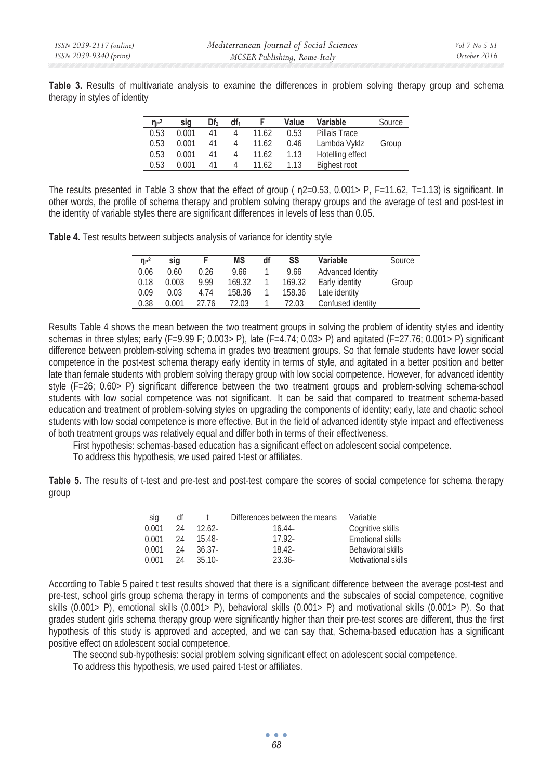**Table 3.** Results of multivariate analysis to examine the differences in problem solving therapy group and schema therapy in styles of identity

| $\eta P^2$ | sig   | Df <sub>2</sub> | df <sub>1</sub> |       | Value | Variable            | Source |
|------------|-------|-----------------|-----------------|-------|-------|---------------------|--------|
| 0.53       | 0.001 | 41              |                 | 11.62 | 0.53  | Pillais Trace       |        |
| 0.53       | 0.001 | 41              |                 | 11.62 | 0.46  | Lambda Vyklz        | Group  |
| 0.53       | 0.001 | 41              | 4               | 11.62 | 1.13  | Hotelling effect    |        |
| 0.53       | 0.001 | 41              |                 | 11.62 | 1.13  | <b>Bighest root</b> |        |

The results presented in Table 3 show that the effect of group ( $n/2=0.53$ , 0.001> P, F=11.62, T=1.13) is significant. In other words, the profile of schema therapy and problem solving therapy groups and the average of test and post-test in the identity of variable styles there are significant differences in levels of less than 0.05.

**Table 4.** Test results between subjects analysis of variance for identity style

| $\eta_P^2$ | sig   |       | ΜS     | df | SS     | Variable          | Source |
|------------|-------|-------|--------|----|--------|-------------------|--------|
| 0.06       | 0.60  | 0.26  | 9.66   |    | 9.66   | Advanced Identity |        |
| 0.18       | 0.003 | 9.99  | 169.32 |    | 169.32 | Early identity    | Group  |
| 0.09       | 0.03  | 4.74  | 158.36 |    | 158.36 | Late identity     |        |
| 0.38       | 0.001 | 27.76 | 72.03  |    | 72.03  | Confused identity |        |

Results Table 4 shows the mean between the two treatment groups in solving the problem of identity styles and identity schemas in three styles; early (F=9.99 F; 0.003> P), late (F=4.74; 0.03> P) and agitated (F=27.76; 0.001> P) significant difference between problem-solving schema in grades two treatment groups. So that female students have lower social competence in the post-test schema therapy early identity in terms of style, and agitated in a better position and better late than female students with problem solving therapy group with low social competence. However, for advanced identity style (F=26; 0.60> P) significant difference between the two treatment groups and problem-solving schema-school students with low social competence was not significant. It can be said that compared to treatment schema-based education and treatment of problem-solving styles on upgrading the components of identity; early, late and chaotic school students with low social competence is more effective. But in the field of advanced identity style impact and effectiveness of both treatment groups was relatively equal and differ both in terms of their effectiveness.

First hypothesis: schemas-based education has a significant effect on adolescent social competence.

To address this hypothesis, we used paired t-test or affiliates.

**Table 5.** The results of t-test and pre-test and post-test compare the scores of social competence for schema therapy group

| sig   | df |           | Differences between the means | Variable            |
|-------|----|-----------|-------------------------------|---------------------|
| 0.001 | 24 | 12.62-    | 16.44-                        | Cognitive skills    |
| 0.001 | 24 | $15.48-$  | 17.92-                        | Emotional skills    |
| 0.001 | 24 | $36.37 -$ | 18.42-                        | Behavioral skills   |
| 0.001 | 2Δ | $35.10-$  | $23.36 -$                     | Motivational skills |

According to Table 5 paired t test results showed that there is a significant difference between the average post-test and pre-test, school girls group schema therapy in terms of components and the subscales of social competence, cognitive skills (0.001> P), emotional skills (0.001> P), behavioral skills (0.001> P) and motivational skills (0.001> P). So that grades student girls schema therapy group were significantly higher than their pre-test scores are different, thus the first hypothesis of this study is approved and accepted, and we can say that, Schema-based education has a significant positive effect on adolescent social competence.

The second sub-hypothesis: social problem solving significant effect on adolescent social competence.

To address this hypothesis, we used paired t-test or affiliates.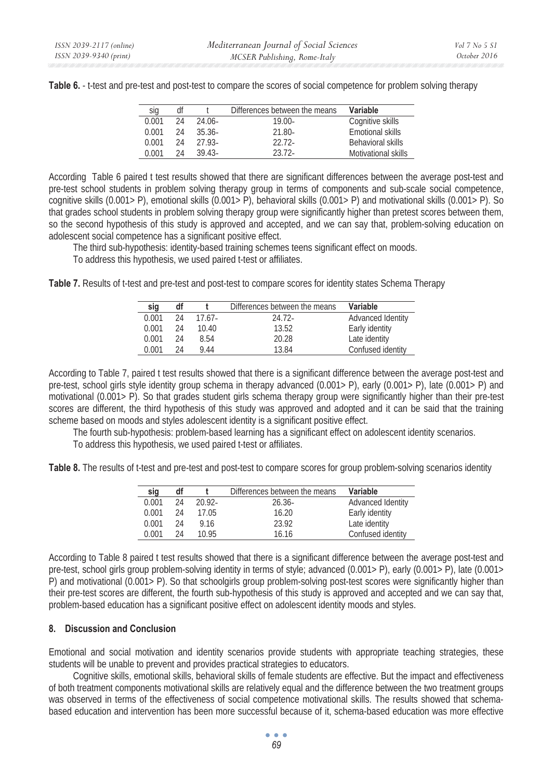| sig   | df |          | Differences between the means | Variable            |
|-------|----|----------|-------------------------------|---------------------|
| 0.001 | 24 | 24.06-   | $19.00 -$                     | Cognitive skills    |
| 0.001 | 24 | $35.36-$ | $21.80 -$                     | Emotional skills    |
| 0.001 | 24 | 27.93-   | $22.72-$                      | Behavioral skills   |
| 0.001 | 24 | $3943-$  | $23.72-$                      | Motivational skills |

**Table 6.** - t-test and pre-test and post-test to compare the scores of social competence for problem solving therapy

According Table 6 paired t test results showed that there are significant differences between the average post-test and pre-test school students in problem solving therapy group in terms of components and sub-scale social competence, cognitive skills (0.001> P), emotional skills (0.001> P), behavioral skills (0.001> P) and motivational skills (0.001> P). So that grades school students in problem solving therapy group were significantly higher than pretest scores between them, so the second hypothesis of this study is approved and accepted, and we can say that, problem-solving education on adolescent social competence has a significant positive effect.

The third sub-hypothesis: identity-based training schemes teens significant effect on moods. To address this hypothesis, we used paired t-test or affiliates.

**Table 7.** Results of t-test and pre-test and post-test to compare scores for identity states Schema Therapy

| sig   | df |        | Differences between the means | Variable          |
|-------|----|--------|-------------------------------|-------------------|
| 0.001 | 24 | 17.67- | 24.72-                        | Advanced Identity |
| 0.001 | 24 | 10.40  | 13.52                         | Early identity    |
| 0.001 | 24 | 8.54   | 20.28                         | Late identity     |
| 0.001 | 24 | 9.44   | 1384                          | Confused identity |

According to Table 7, paired t test results showed that there is a significant difference between the average post-test and pre-test, school girls style identity group schema in therapy advanced (0.001> P), early (0.001> P), late (0.001> P) and motivational (0.001> P). So that grades student girls schema therapy group were significantly higher than their pre-test scores are different, the third hypothesis of this study was approved and adopted and it can be said that the training scheme based on moods and styles adolescent identity is a significant positive effect.

The fourth sub-hypothesis: problem-based learning has a significant effect on adolescent identity scenarios.

To address this hypothesis, we used paired t-test or affiliates.

Table 8. The results of t-test and pre-test and post-test to compare scores for group problem-solving scenarios identity

| sig   | df |           | Differences between the means | Variable          |
|-------|----|-----------|-------------------------------|-------------------|
| 0.001 | 24 | $20.92 -$ | $26.36-$                      | Advanced Identity |
| 0.001 | 24 | 17.05     | 16.20                         | Early identity    |
| 0.001 | 24 | 9.16      | 23.92                         | Late identity     |
| 0.001 | 24 | 10.95     | 16.16                         | Confused identity |

According to Table 8 paired t test results showed that there is a significant difference between the average post-test and pre-test, school girls group problem-solving identity in terms of style; advanced (0.001> P), early (0.001> P), late (0.001> P) and motivational (0.001> P). So that schoolgirls group problem-solving post-test scores were significantly higher than their pre-test scores are different, the fourth sub-hypothesis of this study is approved and accepted and we can say that, problem-based education has a significant positive effect on adolescent identity moods and styles.

### **8. Discussion and Conclusion**

Emotional and social motivation and identity scenarios provide students with appropriate teaching strategies, these students will be unable to prevent and provides practical strategies to educators.

Cognitive skills, emotional skills, behavioral skills of female students are effective. But the impact and effectiveness of both treatment components motivational skills are relatively equal and the difference between the two treatment groups was observed in terms of the effectiveness of social competence motivational skills. The results showed that schemabased education and intervention has been more successful because of it, schema-based education was more effective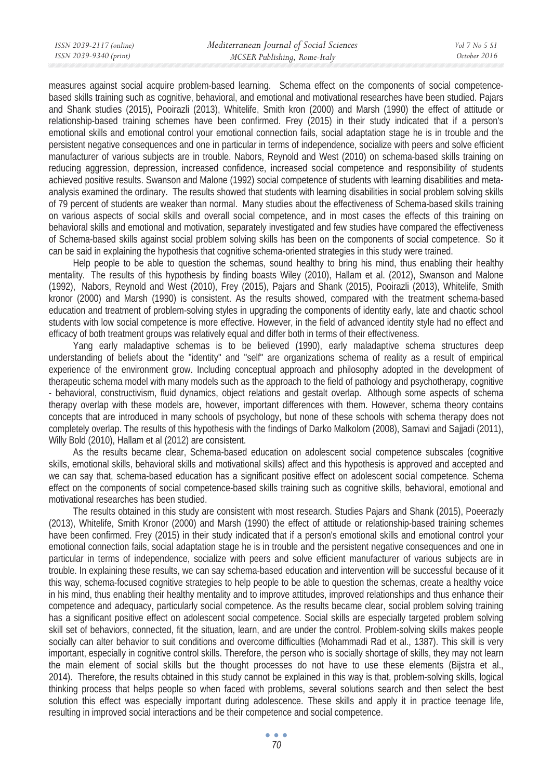measures against social acquire problem-based learning. Schema effect on the components of social competencebased skills training such as cognitive, behavioral, and emotional and motivational researches have been studied. Pajars and Shank studies (2015), Pooirazli (2013), Whitelife, Smith kron (2000) and Marsh (1990) the effect of attitude or relationship-based training schemes have been confirmed. Frey (2015) in their study indicated that if a person's emotional skills and emotional control your emotional connection fails, social adaptation stage he is in trouble and the persistent negative consequences and one in particular in terms of independence, socialize with peers and solve efficient manufacturer of various subjects are in trouble. Nabors, Reynold and West (2010) on schema-based skills training on reducing aggression, depression, increased confidence, increased social competence and responsibility of students achieved positive results. Swanson and Malone (1992) social competence of students with learning disabilities and metaanalysis examined the ordinary. The results showed that students with learning disabilities in social problem solving skills of 79 percent of students are weaker than normal. Many studies about the effectiveness of Schema-based skills training on various aspects of social skills and overall social competence, and in most cases the effects of this training on behavioral skills and emotional and motivation, separately investigated and few studies have compared the effectiveness of Schema-based skills against social problem solving skills has been on the components of social competence. So it can be said in explaining the hypothesis that cognitive schema-oriented strategies in this study were trained.

Help people to be able to question the schemas, sound healthy to bring his mind, thus enabling their healthy mentality. The results of this hypothesis by finding boasts Wiley (2010), Hallam et al. (2012), Swanson and Malone (1992), Nabors, Reynold and West (2010), Frey (2015), Pajars and Shank (2015), Pooirazli (2013), Whitelife, Smith kronor (2000) and Marsh (1990) is consistent. As the results showed, compared with the treatment schema-based education and treatment of problem-solving styles in upgrading the components of identity early, late and chaotic school students with low social competence is more effective. However, in the field of advanced identity style had no effect and efficacy of both treatment groups was relatively equal and differ both in terms of their effectiveness.

Yang early maladaptive schemas is to be believed (1990), early maladaptive schema structures deep understanding of beliefs about the "identity" and "self" are organizations schema of reality as a result of empirical experience of the environment grow. Including conceptual approach and philosophy adopted in the development of therapeutic schema model with many models such as the approach to the field of pathology and psychotherapy, cognitive - behavioral, constructivism, fluid dynamics, object relations and gestalt overlap. Although some aspects of schema therapy overlap with these models are, however, important differences with them. However, schema theory contains concepts that are introduced in many schools of psychology, but none of these schools with schema therapy does not completely overlap. The results of this hypothesis with the findings of Darko Malkolom (2008), Samavi and Sajjadi (2011), Willy Bold (2010), Hallam et al (2012) are consistent.

As the results became clear, Schema-based education on adolescent social competence subscales (cognitive skills, emotional skills, behavioral skills and motivational skills) affect and this hypothesis is approved and accepted and we can say that, schema-based education has a significant positive effect on adolescent social competence. Schema effect on the components of social competence-based skills training such as cognitive skills, behavioral, emotional and motivational researches has been studied.

The results obtained in this study are consistent with most research. Studies Pajars and Shank (2015), Poeerazly (2013), Whitelife, Smith Kronor (2000) and Marsh (1990) the effect of attitude or relationship-based training schemes have been confirmed. Frey (2015) in their study indicated that if a person's emotional skills and emotional control your emotional connection fails, social adaptation stage he is in trouble and the persistent negative consequences and one in particular in terms of independence, socialize with peers and solve efficient manufacturer of various subjects are in trouble. In explaining these results, we can say schema-based education and intervention will be successful because of it this way, schema-focused cognitive strategies to help people to be able to question the schemas, create a healthy voice in his mind, thus enabling their healthy mentality and to improve attitudes, improved relationships and thus enhance their competence and adequacy, particularly social competence. As the results became clear, social problem solving training has a significant positive effect on adolescent social competence. Social skills are especially targeted problem solving skill set of behaviors, connected, fit the situation, learn, and are under the control. Problem-solving skills makes people socially can alter behavior to suit conditions and overcome difficulties (Mohammadi Rad et al., 1387). This skill is very important, especially in cognitive control skills. Therefore, the person who is socially shortage of skills, they may not learn the main element of social skills but the thought processes do not have to use these elements (Bijstra et al., 2014). Therefore, the results obtained in this study cannot be explained in this way is that, problem-solving skills, logical thinking process that helps people so when faced with problems, several solutions search and then select the best solution this effect was especially important during adolescence. These skills and apply it in practice teenage life, resulting in improved social interactions and be their competence and social competence.

> $\bullet$   $\bullet$   $\bullet$ *70*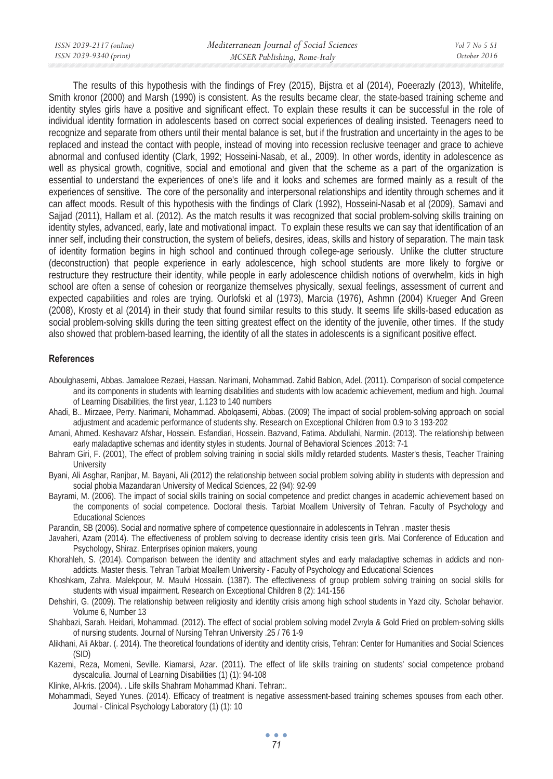| ISSN 2039-2117 (online) | Mediterranean Journal of Social Sciences | Vol 7 No 5 S1 |
|-------------------------|------------------------------------------|---------------|
| ISSN 2039-9340 (print)  | MCSER Publishing, Rome-Italy             | October 2016  |
|                         |                                          |               |

The results of this hypothesis with the findings of Frey (2015), Bijstra et al (2014), Poeerazly (2013), Whitelife, Smith kronor (2000) and Marsh (1990) is consistent. As the results became clear, the state-based training scheme and identity styles girls have a positive and significant effect. To explain these results it can be successful in the role of individual identity formation in adolescents based on correct social experiences of dealing insisted. Teenagers need to recognize and separate from others until their mental balance is set, but if the frustration and uncertainty in the ages to be replaced and instead the contact with people, instead of moving into recession reclusive teenager and grace to achieve abnormal and confused identity (Clark, 1992; Hosseini-Nasab, et al., 2009). In other words, identity in adolescence as well as physical growth, cognitive, social and emotional and given that the scheme as a part of the organization is essential to understand the experiences of one's life and it looks and schemes are formed mainly as a result of the experiences of sensitive. The core of the personality and interpersonal relationships and identity through schemes and it can affect moods. Result of this hypothesis with the findings of Clark (1992), Hosseini-Nasab et al (2009), Samavi and Sajjad (2011), Hallam et al. (2012). As the match results it was recognized that social problem-solving skills training on identity styles, advanced, early, late and motivational impact. To explain these results we can say that identification of an inner self, including their construction, the system of beliefs, desires, ideas, skills and history of separation. The main task of identity formation begins in high school and continued through college-age seriously. Unlike the clutter structure (deconstruction) that people experience in early adolescence, high school students are more likely to forgive or restructure they restructure their identity, while people in early adolescence childish notions of overwhelm, kids in high school are often a sense of cohesion or reorganize themselves physically, sexual feelings, assessment of current and expected capabilities and roles are trying. Ourlofski et al (1973), Marcia (1976), Ashmn (2004) Krueger And Green (2008), Krosty et al (2014) in their study that found similar results to this study. It seems life skills-based education as social problem-solving skills during the teen sitting greatest effect on the identity of the juvenile, other times. If the study also showed that problem-based learning, the identity of all the states in adolescents is a significant positive effect.

### **References**

- Aboulghasemi, Abbas. Jamaloee Rezaei, Hassan. Narimani, Mohammad. Zahid Bablon, Adel. (2011). Comparison of social competence and its components in students with learning disabilities and students with low academic achievement, medium and high. Journal of Learning Disabilities, the first year, 1.123 to 140 numbers
- Ahadi, B.. Mirzaee, Perry. Narimani, Mohammad. Abolqasemi, Abbas. (2009) The impact of social problem-solving approach on social adjustment and academic performance of students shy. Research on Exceptional Children from 0.9 to 3 193-202
- Amani, Ahmed. Keshavarz Afshar, Hossein. Esfandiari, Hossein. Bazvand, Fatima. Abdullahi, Narmin. (2013). The relationship between early maladaptive schemas and identity styles in students. Journal of Behavioral Sciences .2013: 7-1
- Bahram Giri, F. (2001), The effect of problem solving training in social skills mildly retarded students. Master's thesis, Teacher Training **University**

Byani, Ali Asghar, Ranjbar, M. Bayani, Ali (2012) the relationship between social problem solving ability in students with depression and social phobia Mazandaran University of Medical Sciences, 22 (94): 92-99

Bayrami, M. (2006). The impact of social skills training on social competence and predict changes in academic achievement based on the components of social competence. Doctoral thesis. Tarbiat Moallem University of Tehran. Faculty of Psychology and Educational Sciences

Parandin, SB (2006). Social and normative sphere of competence questionnaire in adolescents in Tehran . master thesis

- Javaheri, Azam (2014). The effectiveness of problem solving to decrease identity crisis teen girls. Mai Conference of Education and Psychology, Shiraz. Enterprises opinion makers, young
- Khorahleh, S. (2014). Comparison between the identity and attachment styles and early maladaptive schemas in addicts and nonaddicts. Master thesis. Tehran Tarbiat Moallem University - Faculty of Psychology and Educational Sciences
- Khoshkam, Zahra. Malekpour, M. Maulvi Hossain. (1387). The effectiveness of group problem solving training on social skills for students with visual impairment. Research on Exceptional Children 8 (2): 141-156
- Dehshiri, G. (2009). The relationship between religiosity and identity crisis among high school students in Yazd city. Scholar behavior. Volume 6, Number 13
- Shahbazi, Sarah. Heidari, Mohammad. (2012). The effect of social problem solving model Zvryla & Gold Fried on problem-solving skills of nursing students. Journal of Nursing Tehran University .25 / 76 1-9
- Alikhani, Ali Akbar. (. 2014). The theoretical foundations of identity and identity crisis, Tehran: Center for Humanities and Social Sciences (SID)
- Kazemi, Reza, Momeni, Seville. Kiamarsi, Azar. (2011). The effect of life skills training on students' social competence proband dyscalculia. Journal of Learning Disabilities (1) (1): 94-108
- Klinke, Al-kris. (2004). . Life skills Shahram Mohammad Khani. Tehran:.
- Mohammadi, Seyed Yunes. (2014). Efficacy of treatment is negative assessment-based training schemes spouses from each other. Journal - Clinical Psychology Laboratory (1) (1): 10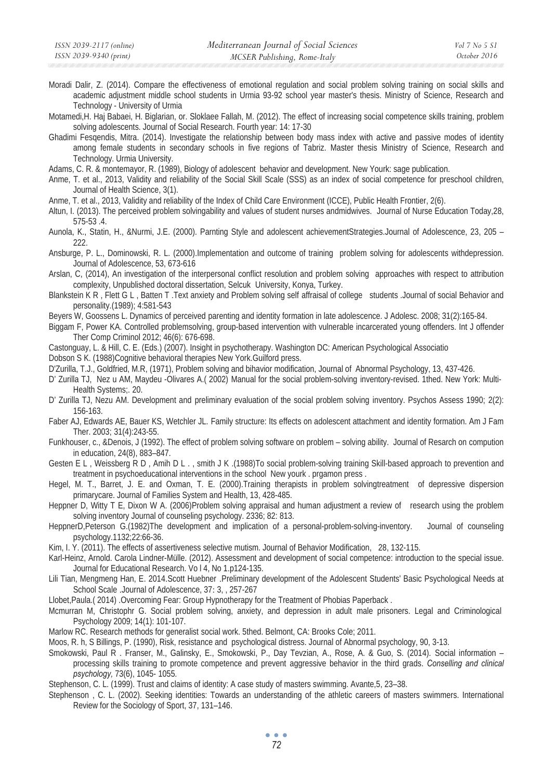Moradi Dalir, Z. (2014). Compare the effectiveness of emotional regulation and social problem solving training on social skills and academic adjustment middle school students in Urmia 93-92 school year master's thesis. Ministry of Science, Research and Technology - University of Urmia

Motamedi,H. Haj Babaei, H. Biglarian, or. Sloklaee Fallah, M. (2012). The effect of increasing social competence skills training, problem solving adolescents. Journal of Social Research. Fourth year: 14: 17-30

Ghadimi Fesqendis, Mitra. (2014). Investigate the relationship between body mass index with active and passive modes of identity among female students in secondary schools in five regions of Tabriz. Master thesis Ministry of Science, Research and Technology. Urmia University.

Adams, C. R. & montemayor, R. (1989), Biology of adolescent behavior and development. New Yourk: sage publication.

Anme, T. et al., 2013, Validity and reliability of the Social Skill Scale (SSS) as an index of social competence for preschool children, Journal of Health Science, 3(1).

Anme, T. et al., 2013, Validity and reliability of the Index of Child Care Environment (ICCE), Public Health Frontier, 2(6).

Altun, I. (2013). The perceived problem solvingability and values of student nurses andmidwives. Journal of Nurse Education Today,28, 575-53 .4.

Aunola, K., Statin, H., &Nurmi, J.E. (2000). Parnting Style and adolescent achievementStrategies.Journal of Adolescence, 23, 205 – 222.

Ansburge, P. L., Dominowski, R. L. (2000).Implementation and outcome of training problem solving for adolescents withdepression. Journal of Adolescence, 53, 673-616

Arslan, C, (2014), An investigation of the interpersonal conflict resolution and problem solving approaches with respect to attribution complexity, Unpublished doctoral dissertation, Selcuk University, Konya, Turkey.

Blankstein K R, Flett G L, Batten T. Text anxiety and Problem solving self affraisal of college students .Journal of social Behavior and personality.(1989); 4:581-543

Beyers W, Goossens L. Dynamics of perceived parenting and identity formation in late adolescence. J Adolesc. 2008; 31(2):165-84.

Biggam F, Power KA. Controlled problemsolving, group-based intervention with vulnerable incarcerated young offenders. Int J offender Ther Comp Criminol 2012; 46(6): 676-698.

Castonguay, L. & Hill, C. E. (Eds.) (2007). Insight in psychotherapy. Washington DC: American Psychological Associatio

Dobson S K. (1988)Cognitive behavioral therapies New York.Guilford press.

D'Zurilla, T.J., Goldfried, M.R, (1971), Problem solving and bihavior modification, Journal of Abnormal Psychology, 13, 437-426.

D' Zurilla TJ, Nez u AM, Maydeu -Olivares A.( 2002) Manual for the social problem-solving inventory-revised. 1thed. New York: Multi-Health Systems;. 20.

D' Zurilla TJ, Nezu AM. Development and preliminary evaluation of the social problem solving inventory. Psychos Assess 1990; 2(2): 156-163.

Faber AJ, Edwards AE, Bauer KS, Wetchler JL. Family structure: Its effects on adolescent attachment and identity formation. Am J Fam Ther. 2003; 31(4):243-55.

Funkhouser, c., &Denois, J (1992). The effect of problem solving software on problem – solving ability. Journal of Resarch on compution in education, 24(8), 883–847.

Gesten E L , Weissberg R D , Amih D L . , smith J K .(1988)To social problem-solving training Skill-based approach to prevention and treatment in psychoeducational interventions in the school New yourk . prgamon press .

Hegel, M. T., Barret, J. E. and Oxman, T. E. (2000).Training therapists in problem solvingtreatment of depressive dispersion primarycare. Journal of Families System and Health, 13, 428-485.

Heppner D, Witty T E, Dixon W A. (2006)Problem solving appraisal and human adjustment a review of research using the problem solving inventory Journal of counseling psychology. 2336; 82: 813.

HeppnerD,Peterson G.(1982)The development and implication of a personal-problem-solving-inventory. Journal of counseling psychology.1132;22:66-36.

Kim, I. Y. (2011). The effects of assertiveness selective mutism. Journal of Behavior Modification, 28, 132-115.

Karl-Heinz, Arnold. Carola Lindner-Mülle. (2012). Assessment and development of social competence: introduction to the special issue. Journal for Educational Research. Vo l 4, No 1.p124-135.

Lili Tian, Mengmeng Han, E. 2014.Scott Huebner .Preliminary development of the Adolescent Students' Basic Psychological Needs at School Scale .Journal of Adolescence, 37: 3, , 257-267

Llobet,Paula.( 2014) .Overcoming Fear: Group Hypnotherapy for the Treatment of Phobias Paperback .

Mcmurran M, Christophr G. Social problem solving, anxiety, and depression in adult male prisoners. Legal and Criminological Psychology 2009; 14(1): 101-107.

Marlow RC. Research methods for generalist social work. 5thed. Belmont, CA: Brooks Cole; 2011.

Moos, R. h, S Billings, P. (1990), Risk, resistance and psychological distress. Journal of Abnormal psychology, 90, 3-13.

Smokowski, Paul R . Franser, M., Galinsky, E., Smokowski, P., Day Tevzian, A., Rose, A. & Guo, S. (2014). Social information – processing skills training to promote competence and prevent aggressive behavior in the third grads. *Conselling and clinical psychology,* 73(6), 1045- 1055*.*

Stephenson, C. L. (1999). Trust and claims of identity: A case study of masters swimming. Avante,5, 23–38.

Stephenson , C. L. (2002). Seeking identities: Towards an understanding of the athletic careers of masters swimmers. International Review for the Sociology of Sport, 37, 131–146.